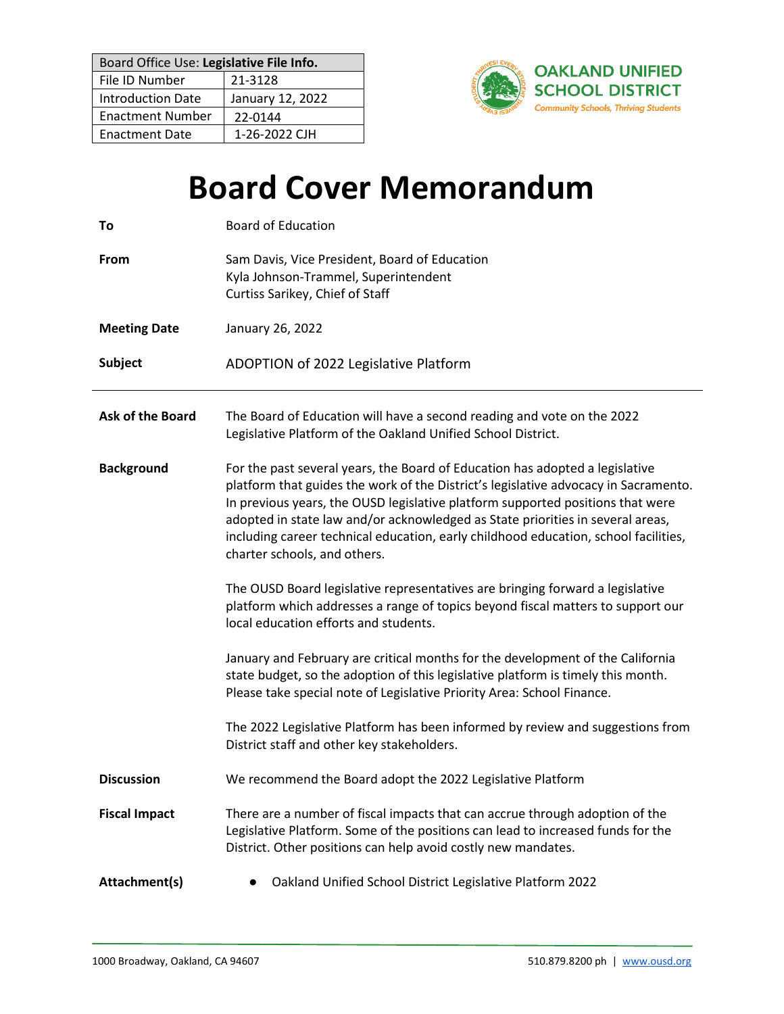| Board Office Use: Legislative File Info. |                  |
|------------------------------------------|------------------|
| File ID Number                           | 21-3128          |
| <b>Introduction Date</b>                 | January 12, 2022 |
| <b>Enactment Number</b>                  | 22-0144          |
| <b>Enactment Date</b>                    | 1-26-2022 CJH    |



# **Board Cover Memorandum**

| To                      | <b>Board of Education</b>                                                                                                                                                                                                                                                                                                                                                                                                                                      |
|-------------------------|----------------------------------------------------------------------------------------------------------------------------------------------------------------------------------------------------------------------------------------------------------------------------------------------------------------------------------------------------------------------------------------------------------------------------------------------------------------|
| From                    | Sam Davis, Vice President, Board of Education<br>Kyla Johnson-Trammel, Superintendent<br>Curtiss Sarikey, Chief of Staff                                                                                                                                                                                                                                                                                                                                       |
| <b>Meeting Date</b>     | January 26, 2022                                                                                                                                                                                                                                                                                                                                                                                                                                               |
| <b>Subject</b>          | ADOPTION of 2022 Legislative Platform                                                                                                                                                                                                                                                                                                                                                                                                                          |
| <b>Ask of the Board</b> | The Board of Education will have a second reading and vote on the 2022<br>Legislative Platform of the Oakland Unified School District.                                                                                                                                                                                                                                                                                                                         |
| <b>Background</b>       | For the past several years, the Board of Education has adopted a legislative<br>platform that guides the work of the District's legislative advocacy in Sacramento.<br>In previous years, the OUSD legislative platform supported positions that were<br>adopted in state law and/or acknowledged as State priorities in several areas,<br>including career technical education, early childhood education, school facilities,<br>charter schools, and others. |
|                         | The OUSD Board legislative representatives are bringing forward a legislative<br>platform which addresses a range of topics beyond fiscal matters to support our<br>local education efforts and students.                                                                                                                                                                                                                                                      |
|                         | January and February are critical months for the development of the California<br>state budget, so the adoption of this legislative platform is timely this month.<br>Please take special note of Legislative Priority Area: School Finance.                                                                                                                                                                                                                   |
|                         | The 2022 Legislative Platform has been informed by review and suggestions from<br>District staff and other key stakeholders.                                                                                                                                                                                                                                                                                                                                   |
| <b>Discussion</b>       | We recommend the Board adopt the 2022 Legislative Platform                                                                                                                                                                                                                                                                                                                                                                                                     |
| <b>Fiscal Impact</b>    | There are a number of fiscal impacts that can accrue through adoption of the<br>Legislative Platform. Some of the positions can lead to increased funds for the<br>District. Other positions can help avoid costly new mandates.                                                                                                                                                                                                                               |
| Attachment(s)           | Oakland Unified School District Legislative Platform 2022                                                                                                                                                                                                                                                                                                                                                                                                      |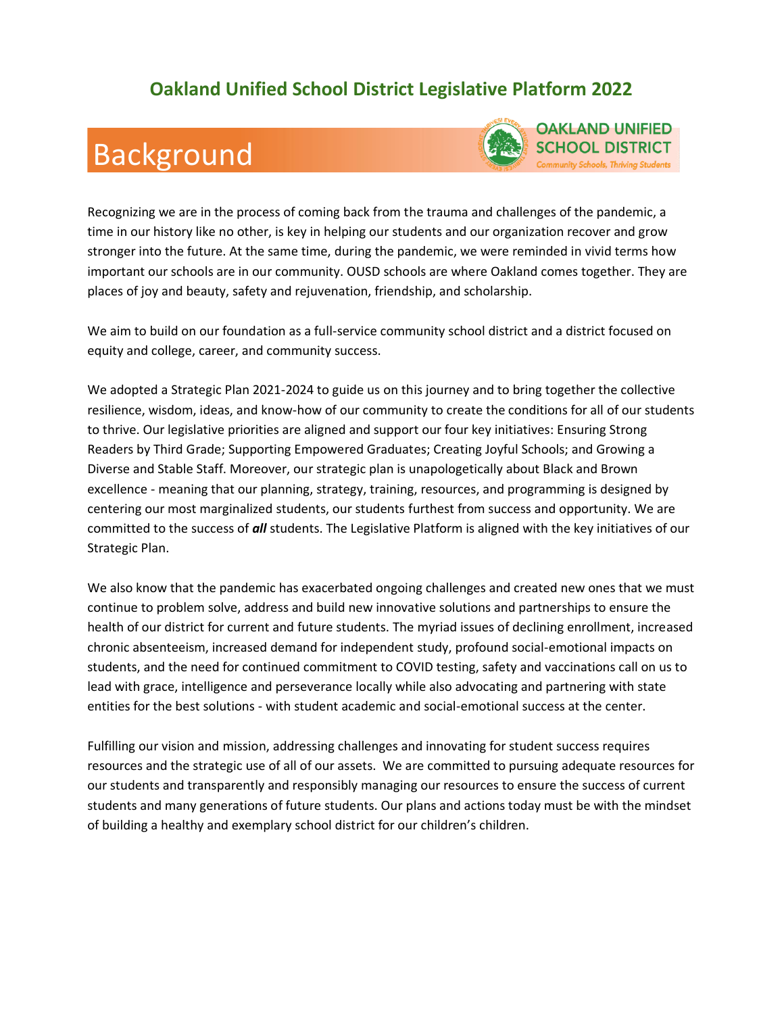### **Oakland Unified School District Legislative Platform 2022**

### Background



Recognizing we are in the process of coming back from the trauma and challenges of the pandemic, a time in our history like no other, is key in helping our students and our organization recover and grow stronger into the future. At the same time, during the pandemic, we were reminded in vivid terms how important our schools are in our community. OUSD schools are where Oakland comes together. They are places of joy and beauty, safety and rejuvenation, friendship, and scholarship.

We aim to build on our foundation as a full-service community school district and a district focused on equity and college, career, and community success.

We adopted a Strategic Plan 2021-2024 to guide us on this journey and to bring together the collective resilience, wisdom, ideas, and know-how of our community to create the conditions for all of our students to thrive. Our legislative priorities are aligned and support our four key initiatives: Ensuring Strong Readers by Third Grade; Supporting Empowered Graduates; Creating Joyful Schools; and Growing a Diverse and Stable Staff. Moreover, our strategic plan is unapologetically about Black and Brown excellence - meaning that our planning, strategy, training, resources, and programming is designed by centering our most marginalized students, our students furthest from success and opportunity. We are committed to the success of *all* students. The Legislative Platform is aligned with the key initiatives of our Strategic Plan.

We also know that the pandemic has exacerbated ongoing challenges and created new ones that we must continue to problem solve, address and build new innovative solutions and partnerships to ensure the health of our district for current and future students. The myriad issues of declining enrollment, increased chronic absenteeism, increased demand for independent study, profound social-emotional impacts on students, and the need for continued commitment to COVID testing, safety and vaccinations call on us to lead with grace, intelligence and perseverance locally while also advocating and partnering with state entities for the best solutions - with student academic and social-emotional success at the center.

Fulfilling our vision and mission, addressing challenges and innovating for student success requires resources and the strategic use of all of our assets. We are committed to pursuing adequate resources for our students and transparently and responsibly managing our resources to ensure the success of current students and many generations of future students. Our plans and actions today must be with the mindset of building a healthy and exemplary school district for our children's children.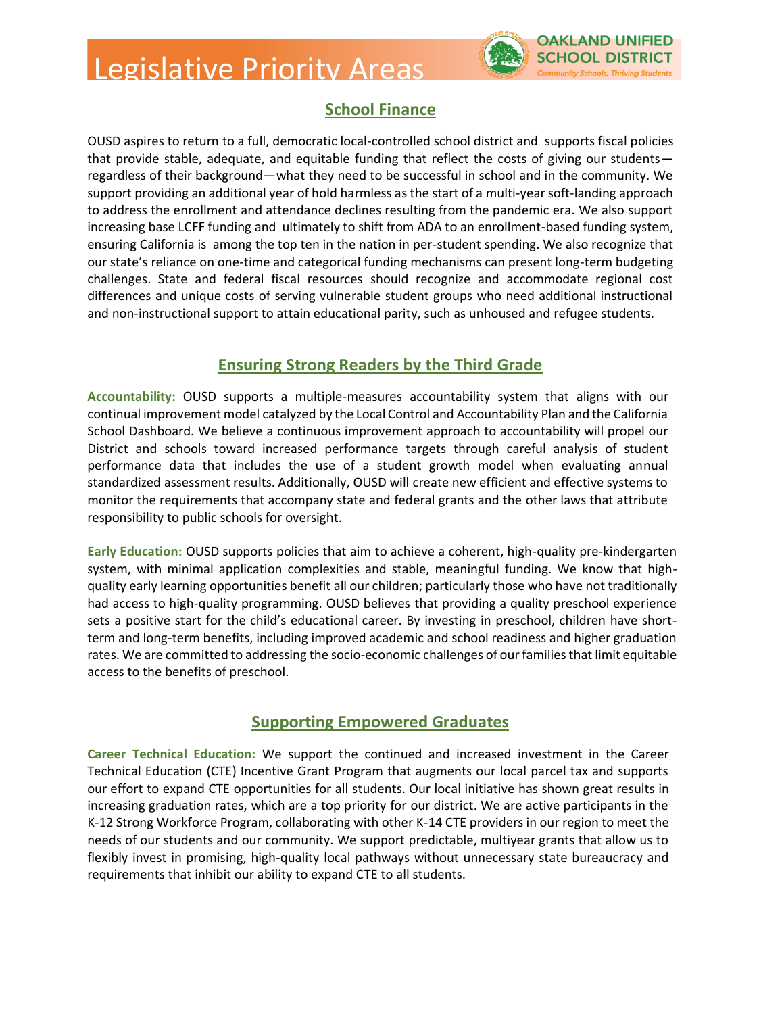## Legislative Priority Areas



#### **School Finance**

OUSD aspires to return to a full, democratic local-controlled school district and supports fiscal policies that provide stable, adequate, and equitable funding that reflect the costs of giving our students regardless of their background—what they need to be successful in school and in the community. We support providing an additional year of hold harmless as the start of a multi-year soft-landing approach to address the enrollment and attendance declines resulting from the pandemic era. We also support increasing base LCFF funding and ultimately to shift from ADA to an enrollment-based funding system, ensuring California is among the top ten in the nation in per-student spending. We also recognize that our state's reliance on one-time and categorical funding mechanisms can present long-term budgeting challenges. State and federal fiscal resources should recognize and accommodate regional cost differences and unique costs of serving vulnerable student groups who need additional instructional and non-instructional support to attain educational parity, such as unhoused and refugee students.

#### **Ensuring Strong Readers by the Third Grade**

**Accountability:** OUSD supports a multiple-measures accountability system that aligns with our continual improvement model catalyzed by the Local Control and Accountability Plan and the California School Dashboard. We believe a continuous improvement approach to accountability will propel our District and schools toward increased performance targets through careful analysis of student performance data that includes the use of a student growth model when evaluating annual standardized assessment results. Additionally, OUSD will create new efficient and effective systems to monitor the requirements that accompany state and federal grants and the other laws that attribute responsibility to public schools for oversight.

**Early Education:** OUSD supports policies that aim to achieve a coherent, high-quality pre-kindergarten system, with minimal application complexities and stable, meaningful funding. We know that highquality early learning opportunities benefit all our children; particularly those who have not traditionally had access to high-quality programming. OUSD believes that providing a quality preschool experience sets a positive start for the child's educational career. By investing in preschool, children have shortterm and long-term benefits, including improved academic and school readiness and higher graduation rates. We are committed to addressing the socio-economic challenges of our families that limit equitable access to the benefits of preschool.

#### **Supporting Empowered Graduates**

**Career Technical Education:** We support the continued and increased investment in the Career Technical Education (CTE) Incentive Grant Program that augments our local parcel tax and supports our effort to expand CTE opportunities for all students. Our local initiative has shown great results in increasing graduation rates, which are a top priority for our district. We are active participants in the K-12 Strong Workforce Program, collaborating with other K-14 CTE providers in our region to meet the needs of our students and our community. We support predictable, multiyear grants that allow us to flexibly invest in promising, high-quality local pathways without unnecessary state bureaucracy and requirements that inhibit our ability to expand CTE to all students.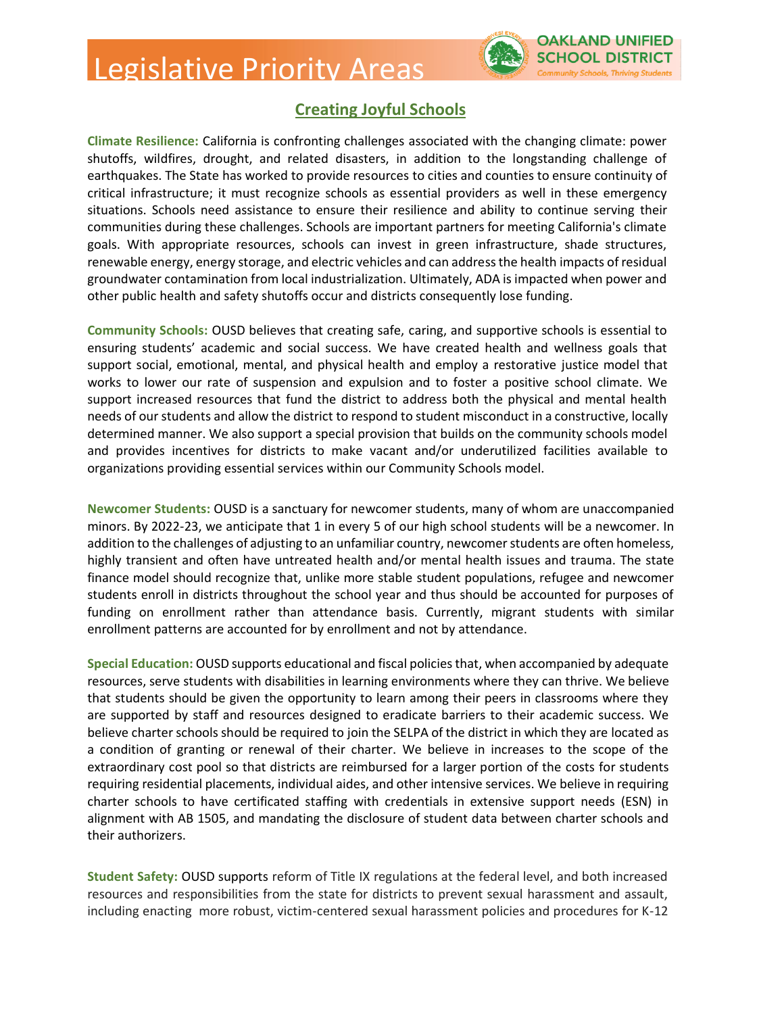### Legislative Priority Areas



#### **Creating Joyful Schools**

**Climate Resilience:** California is confronting challenges associated with the changing climate: power shutoffs, wildfires, drought, and related disasters, in addition to the longstanding challenge of earthquakes. The State has worked to provide resources to cities and counties to ensure continuity of critical infrastructure; it must recognize schools as essential providers as well in these emergency situations. Schools need assistance to ensure their resilience and ability to continue serving their communities during these challenges. Schools are important partners for meeting California's climate goals. With appropriate resources, schools can invest in green infrastructure, shade structures, renewable energy, energy storage, and electric vehicles and can address the health impacts of residual groundwater contamination from local industrialization. Ultimately, ADA is impacted when power and other public health and safety shutoffs occur and districts consequently lose funding.

**Community Schools:** OUSD believes that creating safe, caring, and supportive schools is essential to ensuring students' academic and social success. We have created health and wellness goals that support social, emotional, mental, and physical health and employ a restorative justice model that works to lower our rate of suspension and expulsion and to foster a positive school climate. We support increased resources that fund the district to address both the physical and mental health needs of our students and allow the district to respond to student misconduct in a constructive, locally determined manner. We also support a special provision that builds on the community schools model and provides incentives for districts to make vacant and/or underutilized facilities available to organizations providing essential services within our Community Schools model.

**Newcomer Students:** OUSD is a sanctuary for newcomer students, many of whom are unaccompanied minors. By 2022-23, we anticipate that 1 in every 5 of our high school students will be a newcomer. In addition to the challenges of adjusting to an unfamiliar country, newcomer students are often homeless, highly transient and often have untreated health and/or mental health issues and trauma. The state finance model should recognize that, unlike more stable student populations, refugee and newcomer students enroll in districts throughout the school year and thus should be accounted for purposes of funding on enrollment rather than attendance basis. Currently, migrant students with similar enrollment patterns are accounted for by enrollment and not by attendance.

**Special Education:** OUSD supports educational and fiscal policies that, when accompanied by adequate resources, serve students with disabilities in learning environments where they can thrive. We believe that students should be given the opportunity to learn among their peers in classrooms where they are supported by staff and resources designed to eradicate barriers to their academic success. We believe charter schools should be required to join the SELPA of the district in which they are located as a condition of granting or renewal of their charter. We believe in increases to the scope of the extraordinary cost pool so that districts are reimbursed for a larger portion of the costs for students requiring residential placements, individual aides, and other intensive services. We believe in requiring charter schools to have certificated staffing with credentials in extensive support needs (ESN) in alignment with AB 1505, and mandating the disclosure of student data between charter schools and their authorizers.

**Student Safety:** OUSD supports reform of Title IX regulations at the federal level, and both increased resources and responsibilities from the state for districts to prevent sexual harassment and assault, including enacting more robust, victim-centered sexual harassment policies and procedures for K-12